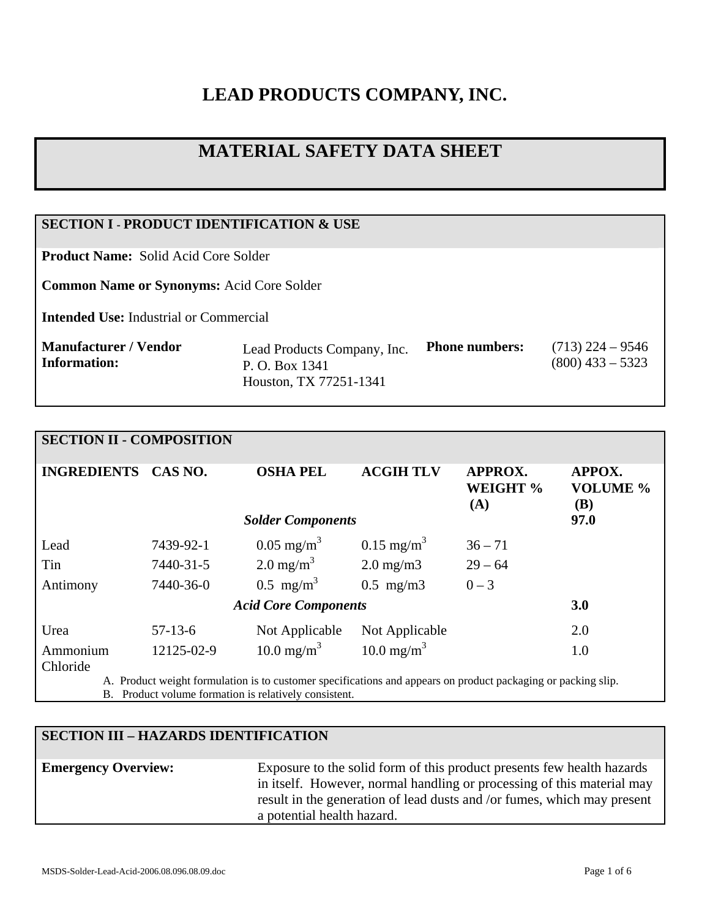# **LEAD PRODUCTS COMPANY, INC.**

# **MATERIAL SAFETY DATA SHEET**

# **SECTION I - PRODUCT IDENTIFICATION & USE**

**Product Name:** Solid Acid Core Solder

**Common Name or Synonyms:** Acid Core Solder

**Intended Use:** Industrial or Commercial

| Lead Products Company, Inc.<br>P. O. Box 1341<br>Houston, TX 77251-1341 | <b>Phone numbers:</b> | $(713)$ 224 – 9546<br>$(800)$ 433 – 5323 |
|-------------------------------------------------------------------------|-----------------------|------------------------------------------|
|                                                                         |                       |                                          |
| Manufacturer / Vendor<br>  Information:                                 |                       |                                          |

## **SECTION II - COMPOSITION**

| <b>INGREDIENTS</b>          | CAS NO.    | <b>OSHA PEL</b>          | <b>ACGIH TLV</b>       | <b>APPROX.</b><br>WEIGHT %<br>(A) | APPOX.<br><b>VOLUME %</b><br><b>(B)</b> |
|-----------------------------|------------|--------------------------|------------------------|-----------------------------------|-----------------------------------------|
|                             |            | <b>Solder Components</b> |                        |                                   | 97.0                                    |
| Lead                        | 7439-92-1  | $0.05 \text{ mg/m}^3$    | $0.15 \text{ mg/m}^3$  | $36 - 71$                         |                                         |
| Tin                         | 7440-31-5  | $2.0 \text{ mg/m}^3$     | $2.0 \text{ mg/m}$     | $29 - 64$                         |                                         |
| Antimony                    | 7440-36-0  | $0.5 \text{ mg/m}^3$     | $0.5$ mg/m $3$         | $0 - 3$                           |                                         |
| <b>Acid Core Components</b> |            |                          |                        |                                   | 3.0                                     |
| Urea                        | $57-13-6$  | Not Applicable           | Not Applicable         |                                   | 2.0                                     |
| Ammonium<br>Chloride        | 12125-02-9 | 10.0 mg/m <sup>3</sup>   | 10.0 mg/m <sup>3</sup> |                                   | 1.0                                     |

A. Product weight formulation is to customer specifications and appears on product packaging or packing slip. B. Product volume formation is relatively consistent.

#### **SECTION III – HAZARDS IDENTIFICATION**

**Emergency Overview:** Exposure to the solid form of this product presents few health hazards in itself. However, normal handling or processing of this material may result in the generation of lead dusts and /or fumes, which may present a potential health hazard.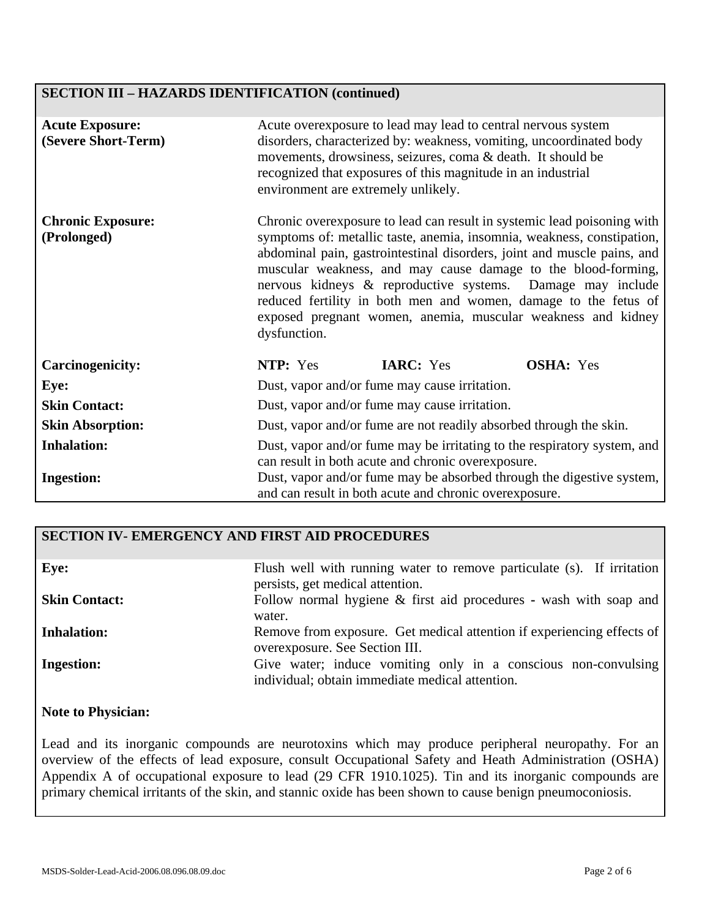# **SECTION III – HAZARDS IDENTIFICATION (continued)**

| <b>Acute Exposure:</b><br>(Severe Short-Term) | Acute overexposure to lead may lead to central nervous system<br>disorders, characterized by: weakness, vomiting, uncoordinated body<br>movements, drowsiness, seizures, coma & death. It should be<br>recognized that exposures of this magnitude in an industrial<br>environment are extremely unlikely.                                                                                                                                                                                                     |  |  |
|-----------------------------------------------|----------------------------------------------------------------------------------------------------------------------------------------------------------------------------------------------------------------------------------------------------------------------------------------------------------------------------------------------------------------------------------------------------------------------------------------------------------------------------------------------------------------|--|--|
| <b>Chronic Exposure:</b><br>(Prolonged)       | Chronic overexposure to lead can result in systemic lead poisoning with<br>symptoms of: metallic taste, anemia, insomnia, weakness, constipation,<br>abdominal pain, gastrointestinal disorders, joint and muscle pains, and<br>muscular weakness, and may cause damage to the blood-forming,<br>nervous kidneys & reproductive systems. Damage may include<br>reduced fertility in both men and women, damage to the fetus of<br>exposed pregnant women, anemia, muscular weakness and kidney<br>dysfunction. |  |  |
| <b>Carcinogenicity:</b>                       | NTP: Yes<br><b>IARC:</b> Yes<br><b>OSHA:</b> Yes                                                                                                                                                                                                                                                                                                                                                                                                                                                               |  |  |
| Eye:                                          | Dust, vapor and/or fume may cause irritation.                                                                                                                                                                                                                                                                                                                                                                                                                                                                  |  |  |
| <b>Skin Contact:</b>                          | Dust, vapor and/or fume may cause irritation.                                                                                                                                                                                                                                                                                                                                                                                                                                                                  |  |  |
| <b>Skin Absorption:</b>                       | Dust, vapor and/or fume are not readily absorbed through the skin.                                                                                                                                                                                                                                                                                                                                                                                                                                             |  |  |
| <b>Inhalation:</b><br><b>Ingestion:</b>       | Dust, vapor and/or fume may be irritating to the respiratory system, and<br>can result in both acute and chronic overexposure.<br>Dust, vapor and/or fume may be absorbed through the digestive system,                                                                                                                                                                                                                                                                                                        |  |  |
|                                               | and can result in both acute and chronic overexposure.                                                                                                                                                                                                                                                                                                                                                                                                                                                         |  |  |

#### **SECTION IV- EMERGENCY AND FIRST AID PROCEDURES**

| Eye:                 | Flush well with running water to remove particulate (s). If irritation<br>persists, get medical attention.        |
|----------------------|-------------------------------------------------------------------------------------------------------------------|
| <b>Skin Contact:</b> | Follow normal hygiene & first aid procedures - wash with soap and<br>water.                                       |
| <b>Inhalation:</b>   | Remove from exposure. Get medical attention if experiencing effects of<br>overexposure. See Section III.          |
| <b>Ingestion:</b>    | Give water; induce vomiting only in a conscious non-convulsing<br>individual; obtain immediate medical attention. |

### **Note to Physician:**

Lead and its inorganic compounds are neurotoxins which may produce peripheral neuropathy. For an overview of the effects of lead exposure, consult Occupational Safety and Heath Administration (OSHA) Appendix A of occupational exposure to lead (29 CFR 1910.1025). Tin and its inorganic compounds are primary chemical irritants of the skin, and stannic oxide has been shown to cause benign pneumoconiosis.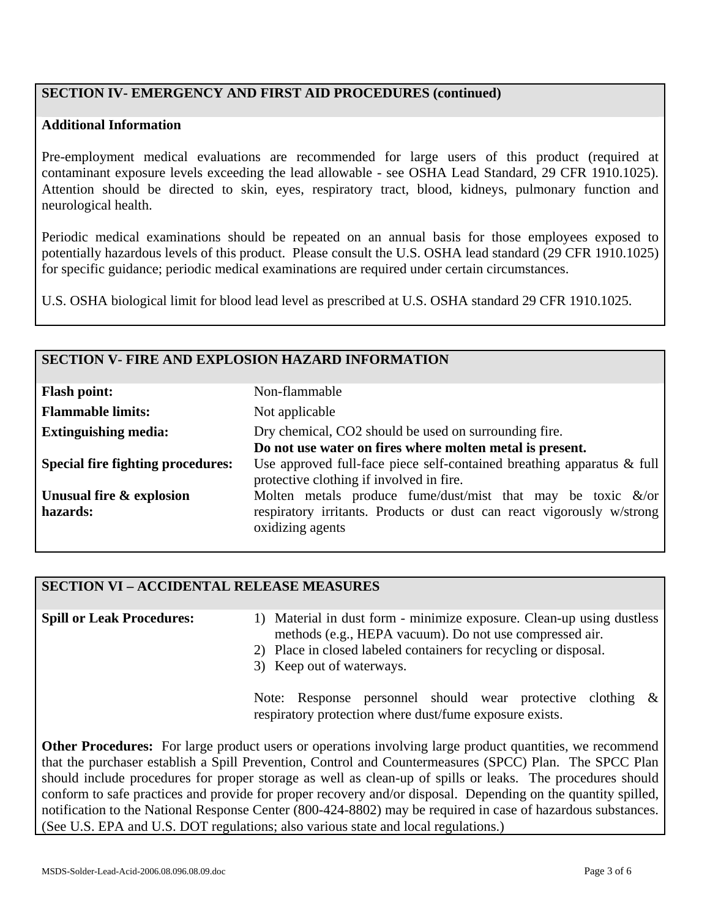# **SECTION IV- EMERGENCY AND FIRST AID PROCEDURES (continued)**

#### **Additional Information**

Pre-employment medical evaluations are recommended for large users of this product (required at contaminant exposure levels exceeding the lead allowable - see OSHA Lead Standard, 29 CFR 1910.1025). Attention should be directed to skin, eyes, respiratory tract, blood, kidneys, pulmonary function and neurological health.

Periodic medical examinations should be repeated on an annual basis for those employees exposed to potentially hazardous levels of this product. Please consult the U.S. OSHA lead standard (29 CFR 1910.1025) for specific guidance; periodic medical examinations are required under certain circumstances.

U.S. OSHA biological limit for blood lead level as prescribed at U.S. OSHA standard 29 CFR 1910.1025.

#### **SECTION V- FIRE AND EXPLOSION HAZARD INFORMATION**

| <b>Flash point:</b>                      | Non-flammable                                                                                                         |
|------------------------------------------|-----------------------------------------------------------------------------------------------------------------------|
| <b>Flammable limits:</b>                 | Not applicable                                                                                                        |
| <b>Extinguishing media:</b>              | Dry chemical, CO2 should be used on surrounding fire.                                                                 |
|                                          | Do not use water on fires where molten metal is present.                                                              |
| <b>Special fire fighting procedures:</b> | Use approved full-face piece self-contained breathing apparatus $\&$ full<br>protective clothing if involved in fire. |
| Unusual fire & explosion                 | Molten metals produce fume/dust/mist that may be toxic $\&$ /or                                                       |
| hazards:                                 | respiratory irritants. Products or dust can react vigorously w/strong<br>oxidizing agents                             |

#### **SECTION VI – ACCIDENTAL RELEASE MEASURES**

**Spill or Leak Procedures:**

- 1) Material in dust form minimize exposure. Clean-up using dustless methods (e.g., HEPA vacuum). Do not use compressed air.
- 2) Place in closed labeled containers for recycling or disposal.
- 3) Keep out of waterways.

Note: Response personnel should wear protective clothing & respiratory protection where dust/fume exposure exists.

**Other Procedures:** For large product users or operations involving large product quantities, we recommend that the purchaser establish a Spill Prevention, Control and Countermeasures (SPCC) Plan. The SPCC Plan should include procedures for proper storage as well as clean-up of spills or leaks. The procedures should conform to safe practices and provide for proper recovery and/or disposal. Depending on the quantity spilled, notification to the National Response Center (800-424-8802) may be required in case of hazardous substances. (See U.S. EPA and U.S. DOT regulations; also various state and local regulations.)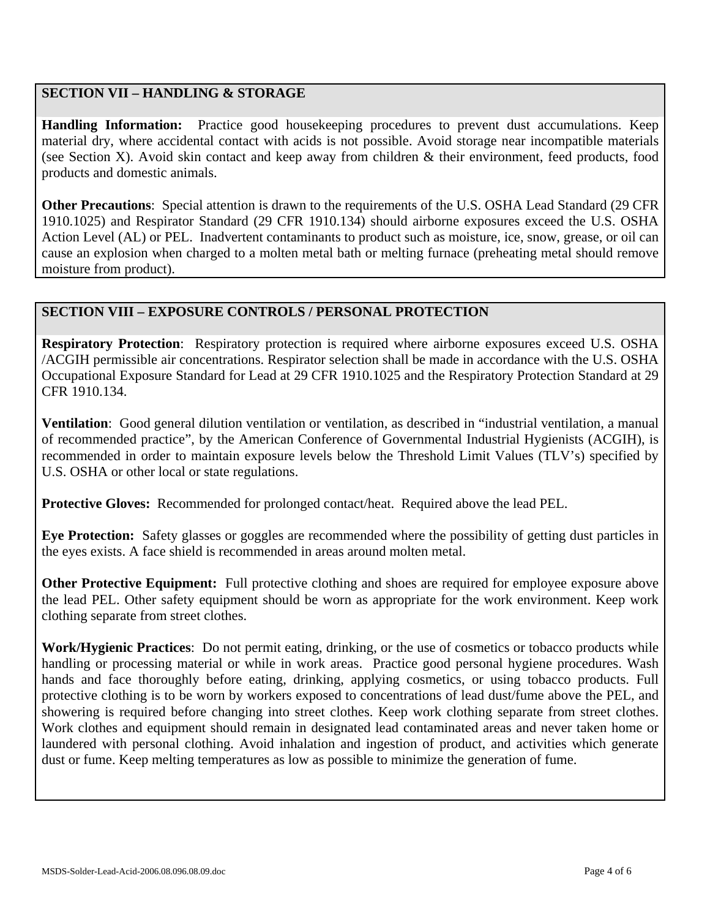# **SECTION VII – HANDLING & STORAGE**

**Handling Information:** Practice good housekeeping procedures to prevent dust accumulations. Keep material dry, where accidental contact with acids is not possible. Avoid storage near incompatible materials (see Section X). Avoid skin contact and keep away from children & their environment, feed products, food products and domestic animals.

**Other Precautions**: Special attention is drawn to the requirements of the U.S. OSHA Lead Standard (29 CFR 1910.1025) and Respirator Standard (29 CFR 1910.134) should airborne exposures exceed the U.S. OSHA Action Level (AL) or PEL. Inadvertent contaminants to product such as moisture, ice, snow, grease, or oil can cause an explosion when charged to a molten metal bath or melting furnace (preheating metal should remove moisture from product).

## **SECTION VIII – EXPOSURE CONTROLS / PERSONAL PROTECTION**

**Respiratory Protection**: Respiratory protection is required where airborne exposures exceed U.S. OSHA /ACGIH permissible air concentrations. Respirator selection shall be made in accordance with the U.S. OSHA Occupational Exposure Standard for Lead at 29 CFR 1910.1025 and the Respiratory Protection Standard at 29 CFR 1910.134.

**Ventilation**: Good general dilution ventilation or ventilation, as described in "industrial ventilation, a manual of recommended practice", by the American Conference of Governmental Industrial Hygienists (ACGIH), is recommended in order to maintain exposure levels below the Threshold Limit Values (TLV's) specified by U.S. OSHA or other local or state regulations.

**Protective Gloves:** Recommended for prolonged contact/heat. Required above the lead PEL.

**Eye Protection:** Safety glasses or goggles are recommended where the possibility of getting dust particles in the eyes exists. A face shield is recommended in areas around molten metal.

**Other Protective Equipment:** Full protective clothing and shoes are required for employee exposure above the lead PEL. Other safety equipment should be worn as appropriate for the work environment. Keep work clothing separate from street clothes.

**Work/Hygienic Practices**: Do not permit eating, drinking, or the use of cosmetics or tobacco products while handling or processing material or while in work areas. Practice good personal hygiene procedures. Wash hands and face thoroughly before eating, drinking, applying cosmetics, or using tobacco products. Full protective clothing is to be worn by workers exposed to concentrations of lead dust/fume above the PEL, and showering is required before changing into street clothes. Keep work clothing separate from street clothes. Work clothes and equipment should remain in designated lead contaminated areas and never taken home or laundered with personal clothing. Avoid inhalation and ingestion of product, and activities which generate dust or fume. Keep melting temperatures as low as possible to minimize the generation of fume.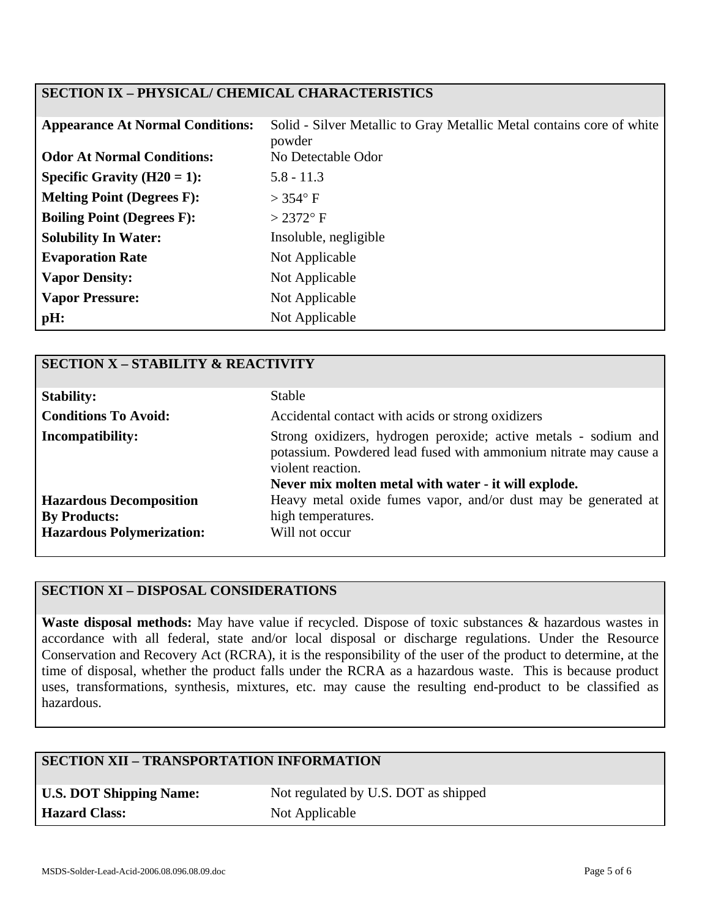# **SECTION IX – PHYSICAL/ CHEMICAL CHARACTERISTICS**

| <b>Appearance At Normal Conditions:</b> | Solid - Silver Metallic to Gray Metallic Metal contains core of white<br>powder |
|-----------------------------------------|---------------------------------------------------------------------------------|
| <b>Odor At Normal Conditions:</b>       | No Detectable Odor                                                              |
| Specific Gravity $(H20 = 1)$ :          | $5.8 - 11.3$                                                                    |
| <b>Melting Point (Degrees F):</b>       | $>$ 354 $\degree$ F                                                             |
| <b>Boiling Point (Degrees F):</b>       | $>2372$ °F                                                                      |
| <b>Solubility In Water:</b>             | Insoluble, negligible                                                           |
| <b>Evaporation Rate</b>                 | Not Applicable                                                                  |
| <b>Vapor Density:</b>                   | Not Applicable                                                                  |
| <b>Vapor Pressure:</b>                  | Not Applicable                                                                  |
| $pH$ :                                  | Not Applicable                                                                  |

| <b>SECTION X - STABILITY &amp; REACTIVITY</b> |                                                                                                                                                                                                                  |
|-----------------------------------------------|------------------------------------------------------------------------------------------------------------------------------------------------------------------------------------------------------------------|
| <b>Stability:</b>                             | <b>Stable</b>                                                                                                                                                                                                    |
| <b>Conditions To Avoid:</b>                   | Accidental contact with acids or strong oxidizers                                                                                                                                                                |
| <b>Incompatibility:</b>                       | Strong oxidizers, hydrogen peroxide; active metals - sodium and<br>potassium. Powdered lead fused with ammonium nitrate may cause a<br>violent reaction.<br>Never mix molten metal with water - it will explode. |
| <b>Hazardous Decomposition</b>                | Heavy metal oxide fumes vapor, and/or dust may be generated at                                                                                                                                                   |
| <b>By Products:</b>                           | high temperatures.                                                                                                                                                                                               |
| <b>Hazardous Polymerization:</b>              | Will not occur                                                                                                                                                                                                   |

# **SECTION XI – DISPOSAL CONSIDERATIONS**

**Waste disposal methods:** May have value if recycled. Dispose of toxic substances & hazardous wastes in accordance with all federal, state and/or local disposal or discharge regulations. Under the Resource Conservation and Recovery Act (RCRA), it is the responsibility of the user of the product to determine, at the time of disposal, whether the product falls under the RCRA as a hazardous waste. This is because product uses, transformations, synthesis, mixtures, etc. may cause the resulting end-product to be classified as hazardous.

# **SECTION XII – TRANSPORTATION INFORMATION**

| <b>U.S. DOT Shipping Name:</b> |
|--------------------------------|
| <b>Hazard Class:</b>           |

Not regulated by U.S. DOT as shipped **Not Applicable**